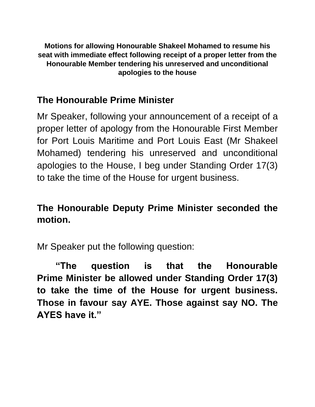**Motions for allowing Honourable Shakeel Mohamed to resume his seat with immediate effect following receipt of a proper letter from the Honourable Member tendering his unreserved and unconditional apologies to the house**

### **The Honourable Prime Minister**

Mr Speaker, following your announcement of a receipt of a proper letter of apology from the Honourable First Member for Port Louis Maritime and Port Louis East (Mr Shakeel Mohamed) tendering his unreserved and unconditional apologies to the House, I beg under Standing Order 17(3) to take the time of the House for urgent business.

## **The Honourable Deputy Prime Minister seconded the motion.**

Mr Speaker put the following question:

**"The question is that the Honourable Prime Minister be allowed under Standing Order 17(3) to take the time of the House for urgent business. Those in favour say AYE. Those against say NO. The AYES have it."**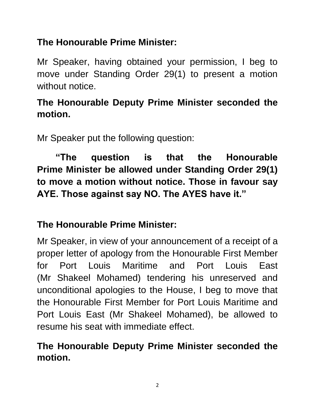# **The Honourable Prime Minister:**

Mr Speaker, having obtained your permission, I beg to move under Standing Order 29(1) to present a motion without notice.

### **The Honourable Deputy Prime Minister seconded the motion.**

Mr Speaker put the following question:

**"The question is that the Honourable Prime Minister be allowed under Standing Order 29(1) to move a motion without notice. Those in favour say AYE. Those against say NO. The AYES have it."**

### **The Honourable Prime Minister:**

Mr Speaker, in view of your announcement of a receipt of a proper letter of apology from the Honourable First Member for Port Louis Maritime and Port Louis East (Mr Shakeel Mohamed) tendering his unreserved and unconditional apologies to the House, I beg to move that the Honourable First Member for Port Louis Maritime and Port Louis East (Mr Shakeel Mohamed), be allowed to resume his seat with immediate effect.

## **The Honourable Deputy Prime Minister seconded the motion.**